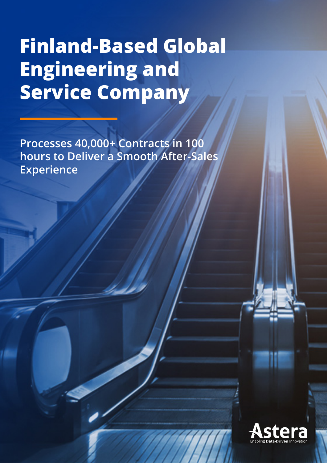# **Finland-Based Global Engineering and Service Company**

**Processes 40,000+ Contracts in 100 hours to Deliver a Smooth After-Sales Experience**

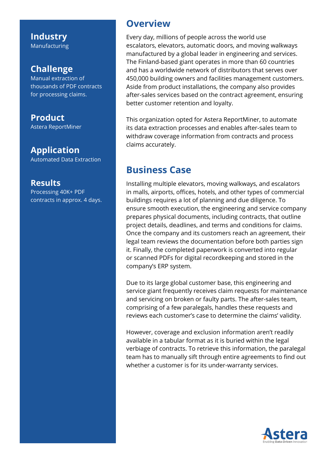**Industry** Manufacturing

#### **Challenge**

Manual extraction of thousands of PDF contracts for processing claims.

**Product** Astera ReportMiner

**Application** Automated Data Extraction

#### **Results**

Processing 40K+ PDF contracts in approx. 4 days.

#### **Overview**

Every day, millions of people across the world use escalators, elevators, automatic doors, and moving walkways manufactured by a global leader in engineering and services. The Finland-based giant operates in more than 60 countries and has a worldwide network of distributors that serves over 450,000 building owners and facilities management customers. Aside from product installations, the company also provides after-sales services based on the contract agreement, ensuring better customer retention and loyalty.

This organization opted for Astera ReportMiner, to automate its data extraction processes and enables after-sales team to withdraw coverage information from contracts and process claims accurately.

### **Business Case**

Installing multiple elevators, moving walkways, and escalators in malls, airports, offices, hotels, and other types of commercial buildings requires a lot of planning and due diligence. To ensure smooth execution, the engineering and service company prepares physical documents, including contracts, that outline project details, deadlines, and terms and conditions for claims. Once the company and its customers reach an agreement, their legal team reviews the documentation before both parties sign it. Finally, the completed paperwork is converted into regular or scanned PDFs for digital recordkeeping and stored in the company's ERP system.

Due to its large global customer base, this engineering and service giant frequently receives claim requests for maintenance and servicing on broken or faulty parts. The after-sales team, comprising of a few paralegals, handles these requests and reviews each customer's case to determine the claims' validity.

However, coverage and exclusion information aren't readily available in a tabular format as it is buried within the legal verbiage of contracts. To retrieve this information, the paralegal team has to manually sift through entire agreements to find out whether a customer is for its under-warranty services.

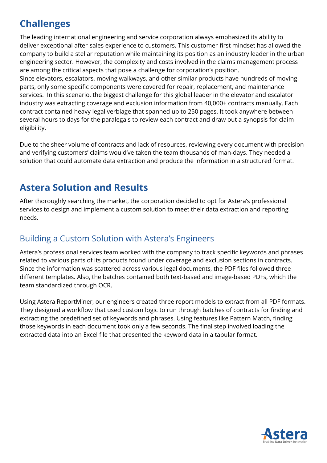# **Challenges**

The leading international engineering and service corporation always emphasized its ability to deliver exceptional after-sales experience to customers. This customer-first mindset has allowed the company to build a stellar reputation while maintaining its position as an industry leader in the urban engineering sector. However, the complexity and costs involved in the claims management process are among the critical aspects that pose a challenge for corporation's position.

Since elevators, escalators, moving walkways, and other similar products have hundreds of moving parts, only some specific components were covered for repair, replacement, and maintenance services. In this scenario, the biggest challenge for this global leader in the elevator and escalator industry was extracting coverage and exclusion information from 40,000+ contracts manually. Each contract contained heavy legal verbiage that spanned up to 250 pages. It took anywhere between several hours to days for the paralegals to review each contract and draw out a synopsis for claim eligibility.

Due to the sheer volume of contracts and lack of resources, reviewing every document with precision and verifying customers' claims would've taken the team thousands of man-days. They needed a solution that could automate data extraction and produce the information in a structured format.

# **Astera Solution and Results**

After thoroughly searching the market, the corporation decided to opt for Astera's professional services to design and implement a custom solution to meet their data extraction and reporting needs.

#### Building a Custom Solution with Astera's Engineers

Astera's professional services team worked with the company to track specific keywords and phrases related to various parts of its products found under coverage and exclusion sections in contracts. Since the information was scattered across various legal documents, the PDF files followed three different templates. Also, the batches contained both text-based and image-based PDFs, which the team standardized through OCR.

Using Astera ReportMiner, our engineers created three report models to extract from all PDF formats. They designed a workflow that used custom logic to run through batches of contracts for finding and extracting the predefined set of keywords and phrases. Using features like Pattern Match, finding those keywords in each document took only a few seconds. The final step involved loading the extracted data into an Excel file that presented the keyword data in a tabular format.

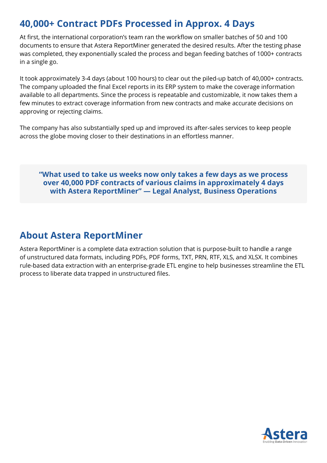## **40,000+ Contract PDFs Processed in Approx. 4 Days**

At first, the international corporation's team ran the workflow on smaller batches of 50 and 100 documents to ensure that Astera ReportMiner generated the desired results. After the testing phase was completed, they exponentially scaled the process and began feeding batches of 1000+ contracts in a single go.

It took approximately 3-4 days (about 100 hours) to clear out the piled-up batch of 40,000+ contracts. The company uploaded the final Excel reports in its ERP system to make the coverage information available to all departments. Since the process is repeatable and customizable, it now takes them a few minutes to extract coverage information from new contracts and make accurate decisions on approving or rejecting claims.

The company has also substantially sped up and improved its after-sales services to keep people across the globe moving closer to their destinations in an effortless manner.

**"What used to take us weeks now only takes a few days as we process over 40,000 PDF contracts of various claims in approximately 4 days with Astera ReportMiner" — Legal Analyst, Business Operations**

# **About Astera ReportMiner**

Astera ReportMiner is a complete data extraction solution that is purpose-built to handle a range of unstructured data formats, including PDFs, PDF forms, TXT, PRN, RTF, XLS, and XLSX. It combines rule-based data extraction with an enterprise-grade ETL engine to help businesses streamline the ETL process to liberate data trapped in unstructured files.